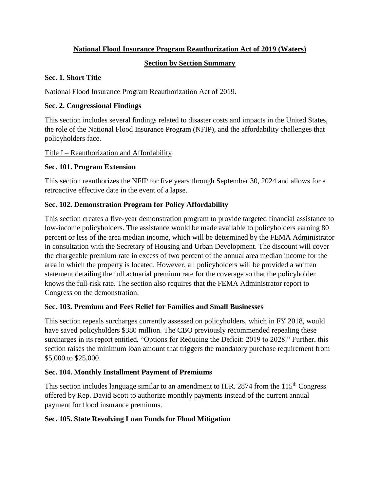### **National Flood Insurance Program Reauthorization Act of 2019 (Waters)**

### **Section by Section Summary**

#### **Sec. 1. Short Title**

National Flood Insurance Program Reauthorization Act of 2019.

### **Sec. 2. Congressional Findings**

This section includes several findings related to disaster costs and impacts in the United States, the role of the National Flood Insurance Program (NFIP), and the affordability challenges that policyholders face.

### Title I – Reauthorization and Affordability

## **Sec. 101. Program Extension**

This section reauthorizes the NFIP for five years through September 30, 2024 and allows for a retroactive effective date in the event of a lapse.

## **Sec. 102. Demonstration Program for Policy Affordability**

This section creates a five-year demonstration program to provide targeted financial assistance to low-income policyholders. The assistance would be made available to policyholders earning 80 percent or less of the area median income, which will be determined by the FEMA Administrator in consultation with the Secretary of Housing and Urban Development. The discount will cover the chargeable premium rate in excess of two percent of the annual area median income for the area in which the property is located. However, all policyholders will be provided a written statement detailing the full actuarial premium rate for the coverage so that the policyholder knows the full-risk rate. The section also requires that the FEMA Administrator report to Congress on the demonstration.

#### **Sec. 103. Premium and Fees Relief for Families and Small Businesses**

This section repeals surcharges currently assessed on policyholders, which in FY 2018, would have saved policyholders \$380 million. The CBO previously recommended repealing these surcharges in its report entitled, "Options for Reducing the Deficit: 2019 to 2028." Further, this section raises the minimum loan amount that triggers the mandatory purchase requirement from \$5,000 to \$25,000.

## **Sec. 104. Monthly Installment Payment of Premiums**

This section includes language similar to an amendment to H.R. 2874 from the 115<sup>th</sup> Congress offered by Rep. David Scott to authorize monthly payments instead of the current annual payment for flood insurance premiums.

#### **Sec. 105. State Revolving Loan Funds for Flood Mitigation**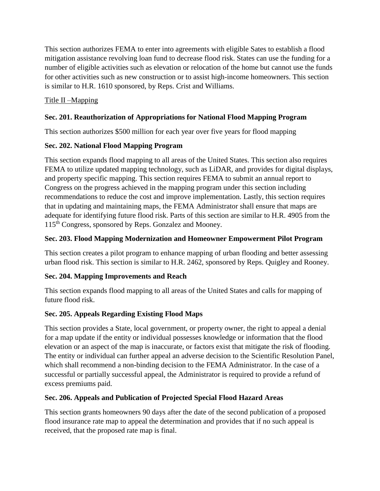This section authorizes FEMA to enter into agreements with eligible Sates to establish a flood mitigation assistance revolving loan fund to decrease flood risk. States can use the funding for a number of eligible activities such as elevation or relocation of the home but cannot use the funds for other activities such as new construction or to assist high-income homeowners. This section is similar to H.R. 1610 sponsored, by Reps. Crist and Williams.

### Title II –Mapping

### **Sec. 201. Reauthorization of Appropriations for National Flood Mapping Program**

This section authorizes \$500 million for each year over five years for flood mapping

### **Sec. 202. National Flood Mapping Program**

This section expands flood mapping to all areas of the United States. This section also requires FEMA to utilize updated mapping technology, such as LiDAR, and provides for digital displays, and property specific mapping. This section requires FEMA to submit an annual report to Congress on the progress achieved in the mapping program under this section including recommendations to reduce the cost and improve implementation. Lastly, this section requires that in updating and maintaining maps, the FEMA Administrator shall ensure that maps are adequate for identifying future flood risk. Parts of this section are similar to H.R. 4905 from the 115th Congress, sponsored by Reps. Gonzalez and Mooney.

### **Sec. 203. Flood Mapping Modernization and Homeowner Empowerment Pilot Program**

This section creates a pilot program to enhance mapping of urban flooding and better assessing urban flood risk. This section is similar to H.R. 2462, sponsored by Reps. Quigley and Rooney.

#### **Sec. 204. Mapping Improvements and Reach**

This section expands flood mapping to all areas of the United States and calls for mapping of future flood risk.

## **Sec. 205. Appeals Regarding Existing Flood Maps**

This section provides a State, local government, or property owner, the right to appeal a denial for a map update if the entity or individual possesses knowledge or information that the flood elevation or an aspect of the map is inaccurate, or factors exist that mitigate the risk of flooding. The entity or individual can further appeal an adverse decision to the Scientific Resolution Panel, which shall recommend a non-binding decision to the FEMA Administrator. In the case of a successful or partially successful appeal, the Administrator is required to provide a refund of excess premiums paid.

#### **Sec. 206. Appeals and Publication of Projected Special Flood Hazard Areas**

This section grants homeowners 90 days after the date of the second publication of a proposed flood insurance rate map to appeal the determination and provides that if no such appeal is received, that the proposed rate map is final.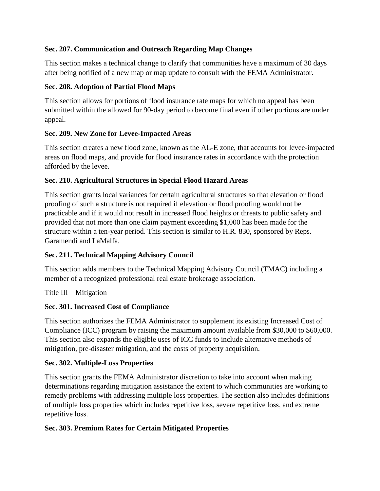### **Sec. 207. Communication and Outreach Regarding Map Changes**

This section makes a technical change to clarify that communities have a maximum of 30 days after being notified of a new map or map update to consult with the FEMA Administrator.

#### **Sec. 208. Adoption of Partial Flood Maps**

This section allows for portions of flood insurance rate maps for which no appeal has been submitted within the allowed for 90-day period to become final even if other portions are under appeal.

### **Sec. 209. New Zone for Levee-Impacted Areas**

This section creates a new flood zone, known as the AL-E zone, that accounts for levee-impacted areas on flood maps, and provide for flood insurance rates in accordance with the protection afforded by the levee.

## **Sec. 210. Agricultural Structures in Special Flood Hazard Areas**

This section grants local variances for certain agricultural structures so that elevation or flood proofing of such a structure is not required if elevation or flood proofing would not be practicable and if it would not result in increased flood heights or threats to public safety and provided that not more than one claim payment exceeding \$1,000 has been made for the structure within a ten-year period. This section is similar to H.R. 830, sponsored by Reps. Garamendi and LaMalfa.

## **Sec. 211. Technical Mapping Advisory Council**

This section adds members to the Technical Mapping Advisory Council (TMAC) including a member of a recognized professional real estate brokerage association.

## Title III – Mitigation

#### **Sec. 301. Increased Cost of Compliance**

This section authorizes the FEMA Administrator to supplement its existing Increased Cost of Compliance (ICC) program by raising the maximum amount available from \$30,000 to \$60,000. This section also expands the eligible uses of ICC funds to include alternative methods of mitigation, pre-disaster mitigation, and the costs of property acquisition.

#### **Sec. 302. Multiple-Loss Properties**

This section grants the FEMA Administrator discretion to take into account when making determinations regarding mitigation assistance the extent to which communities are working to remedy problems with addressing multiple loss properties. The section also includes definitions of multiple loss properties which includes repetitive loss, severe repetitive loss, and extreme repetitive loss.

## **Sec. 303. Premium Rates for Certain Mitigated Properties**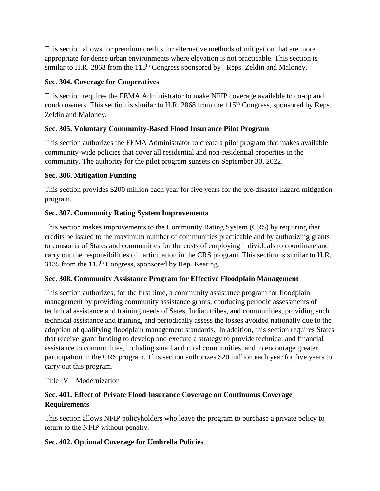This section allows for premium credits for alternative methods of mitigation that are more appropriate for dense urban environments where elevation is not practicable. This section is similar to H.R. 2868 from the 115<sup>th</sup> Congress sponsored by Reps. Zeldin and Maloney.

#### **Sec. 304. Coverage for Cooperatives**

This section requires the FEMA Administrator to make NFIP coverage available to co-op and condo owners. This section is similar to H.R. 2868 from the 115<sup>th</sup> Congress, sponsored by Reps. Zeldin and Maloney.

## **Sec. 305. Voluntary Community-Based Flood Insurance Pilot Program**

This section authorizes the FEMA Administrator to create a pilot program that makes available community-wide policies that cover all residential and non-residential properties in the community. The authority for the pilot program sunsets on September 30, 2022.

## **Sec. 306. Mitigation Funding**

This section provides \$200 million each year for five years for the pre-disaster hazard mitigation program.

# **Sec. 307. Community Rating System Improvements**

This section makes improvements to the Community Rating System (CRS) by requiring that credits be issued to the maximum number of communities practicable and by authorizing grants to consortia of States and communities for the costs of employing individuals to coordinate and carry out the responsibilities of participation in the CRS program. This section is similar to H.R. 3135 from the 115<sup>th</sup> Congress, sponsored by Rep. Keating.

## **Sec. 308. Community Assistance Program for Effective Floodplain Management**

This section authorizes, for the first time, a community assistance program for floodplain management by providing community assistance grants, conducing periodic assessments of technical assistance and training needs of Sates, Indian tribes, and communities, providing such technical assistance and training, and periodically assess the losses avoided nationally due to the adoption of qualifying floodplain management standards. In addition, this section requires States that receive grant funding to develop and execute a strategy to provide technical and financial assistance to communities, including small and rural communities, and to encourage greater participation in the CRS program. This section authorizes \$20 million each year for five years to carry out this program.

## Title IV – Modernization

## **Sec. 401. Effect of Private Flood Insurance Coverage on Continuous Coverage Requirements**

This section allows NFIP policyholders who leave the program to purchase a private policy to return to the NFIP without penalty.

## **Sec. 402. Optional Coverage for Umbrella Policies**